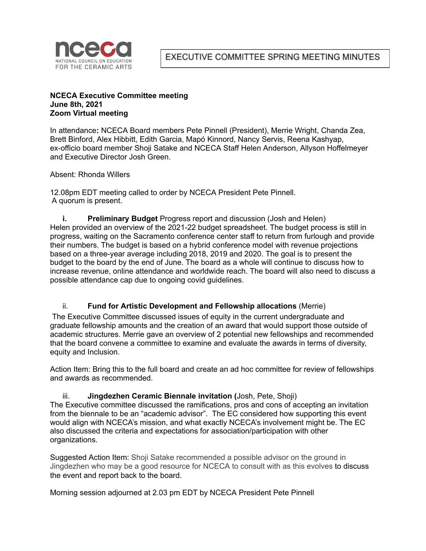

EXECUTIVE COMMITTEE SPRING MEETING MINUTES

#### **NCECA Executive Committee meeting June 8th, 2021 Zoom Virtual meeting**

In attendance**:** NCECA Board members Pete Pinnell (President), Merrie Wright, Chanda Zea, Brett Binford, Alex Hibbitt, Edith Garcia, Mapó Kinnord, Nancy Servis, Reena Kashyap, ex-officio board member Shoji Satake and NCECA Staff Helen Anderson, Allyson Hoffelmeyer and Executive Director Josh Green.

Absent: Rhonda Willers

12.08pm EDT meeting called to order by NCECA President Pete Pinnell. A quorum is present.

**i. Preliminary Budget** Progress report and discussion (Josh and Helen) Helen provided an overview of the 2021-22 budget spreadsheet. The budget process is still in progress, waiting on the Sacramento conference center staff to return from furlough and provide their numbers. The budget is based on a hybrid conference model with revenue projections based on a three-year average including 2018, 2019 and 2020. The goal is to present the budget to the board by the end of June. The board as a whole will continue to discuss how to increase revenue, online attendance and worldwide reach. The board will also need to discuss a possible attendance cap due to ongoing covid guidelines.

### ii. **Fund for Artistic Development and Fellowship allocations** (Merrie)

The Executive Committee discussed issues of equity in the current undergraduate and graduate fellowship amounts and the creation of an award that would support those outside of academic structures. Merrie gave an overview of 2 potential new fellowships and recommended that the board convene a committee to examine and evaluate the awards in terms of diversity, equity and Inclusion.

Action Item: Bring this to the full board and create an ad hoc committee for review of fellowships and awards as recommended.

iii. **Jingdezhen Ceramic Biennale invitation (**Josh, Pete, Shoji) The Executive committee discussed the ramifications, pros and cons of accepting an invitation from the biennale to be an "academic advisor". The EC considered how supporting this event would align with NCECA's mission, and what exactly NCECA's involvement might be. The EC also discussed the criteria and expectations for association/participation with other organizations.

Suggested Action Item: Shoji Satake recommended a possible advisor on the ground in Jingdezhen who may be a good resource for NCECA to consult with as this evolves to discuss the event and report back to the board.

Morning session adjourned at 2.03 pm EDT by NCECA President Pete Pinnell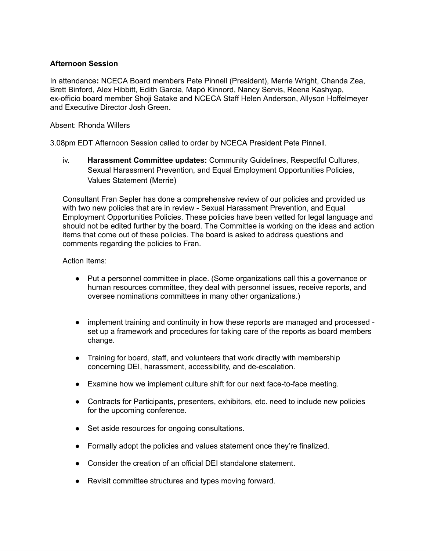### **Afternoon Session**

In attendance**:** NCECA Board members Pete Pinnell (President), Merrie Wright, Chanda Zea, Brett Binford, Alex Hibbitt, Edith Garcia, Mapó Kinnord, Nancy Servis, Reena Kashyap, ex-officio board member Shoji Satake and NCECA Staff Helen Anderson, Allyson Hoffelmeyer and Executive Director Josh Green.

Absent: Rhonda Willers

3.08pm EDT Afternoon Session called to order by NCECA President Pete Pinnell.

iv. **Harassment Committee updates:** Community Guidelines, Respectful Cultures, Sexual Harassment Prevention, and Equal Employment Opportunities Policies, Values Statement (Merrie)

Consultant Fran Sepler has done a comprehensive review of our policies and provided us with two new policies that are in review - Sexual Harassment Prevention, and Equal Employment Opportunities Policies. These policies have been vetted for legal language and should not be edited further by the board. The Committee is working on the ideas and action items that come out of these policies. The board is asked to address questions and comments regarding the policies to Fran.

Action Items:

- Put a personnel committee in place. (Some organizations call this a governance or human resources committee, they deal with personnel issues, receive reports, and oversee nominations committees in many other organizations.)
- **●** implement training and continuity in how these reports are managed and processed set up a framework and procedures for taking care of the reports as board members change.
- Training for board, staff, and volunteers that work directly with membership concerning DEI, harassment, accessibility, and de-escalation.
- Examine how we implement culture shift for our next face-to-face meeting.
- Contracts for Participants, presenters, exhibitors, etc. need to include new policies for the upcoming conference.
- Set aside resources for ongoing consultations.
- Formally adopt the policies and values statement once they're finalized.
- Consider the creation of an official DEI standalone statement.
- Revisit committee structures and types moving forward.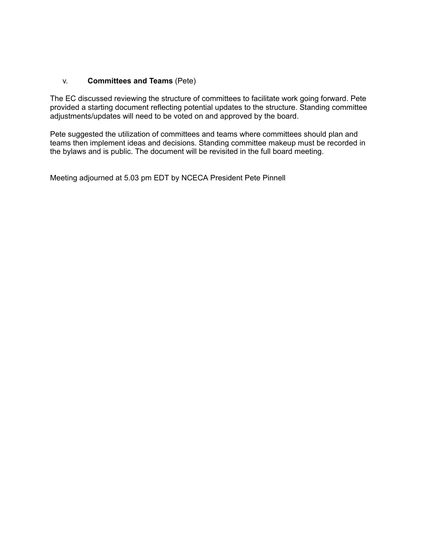# v. **Committees and Teams** (Pete)

The EC discussed reviewing the structure of committees to facilitate work going forward. Pete provided a starting document reflecting potential updates to the structure. Standing committee adjustments/updates will need to be voted on and approved by the board.

Pete suggested the utilization of committees and teams where committees should plan and teams then implement ideas and decisions. Standing committee makeup must be recorded in the bylaws and is public. The document will be revisited in the full board meeting.

Meeting adjourned at 5.03 pm EDT by NCECA President Pete Pinnell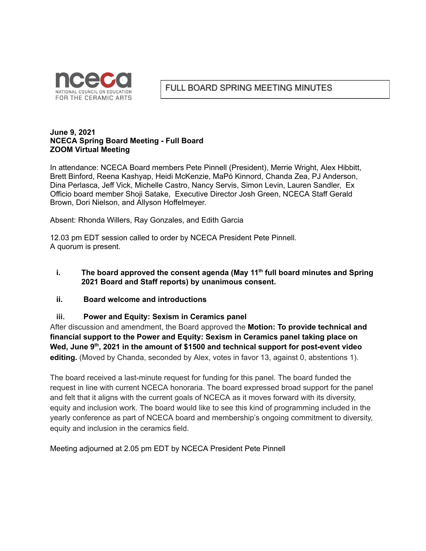

# FULL BOARD SPRING MEETING MINUTES

#### **June 9, 2021 NCECA Spring Board Meeting - Full Board ZOOM Virtual Meeting**

In attendance: NCECA Board members Pete Pinnell (President), Merrie Wright, Alex Hibbitt, Brett Binford, Reena Kashyap, Heidi McKenzie, MaPó Kinnord, Chanda Zea, PJ Anderson, Dina Perlasca, Jeff Vick, Michelle Castro, Nancy Servis, Simon Levin, Lauren Sandler, Ex Officio board member Shoji Satake, Executive Director Josh Green, NCECA Staff Gerald Brown, Dori Nielson, and Allyson Hoffelmeyer.

Absent: Rhonda Willers, Ray Gonzales, and Edith Garcia

12.03 pm EDT session called to order by NCECA President Pete Pinnell. A quorum is present.

# **i. The board approved the consent agenda (May 11 th full board minutes and Spring 2021 Board and Staff reports) by unanimous consent.**

### **ii. Board welcome and introductions**

### **iii. Power and Equity: Sexism in Ceramics panel**

After discussion and amendment, the Board approved the **Motion: To provide technical and financial support to the Power and Equity: Sexism in Ceramics panel taking place on Wed, June 9 th , 2021 in the amount of \$1500 and technical support for post-event video editing.** (Moved by Chanda, seconded by Alex, votes in favor 13, against 0, abstentions 1).

The board received a last-minute request for funding for this panel. The board funded the request in line with current NCECA honoraria. The board expressed broad support for the panel and felt that it aligns with the current goals of NCECA as it moves forward with its diversity, equity and inclusion work. The board would like to see this kind of programming included in the yearly conference as part of NCECA board and membership's ongoing commitment to diversity, equity and inclusion in the ceramics field.

Meeting adjourned at 2.05 pm EDT by NCECA President Pete Pinnell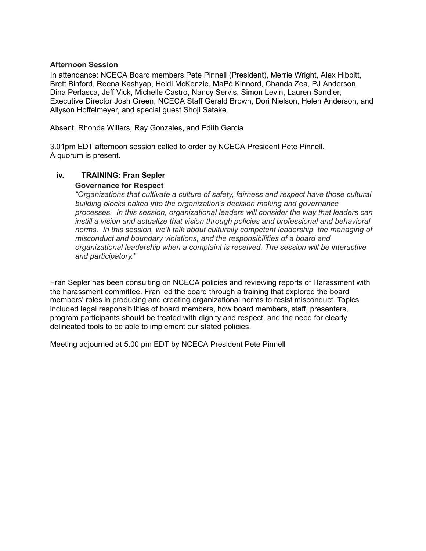#### **Afternoon Session**

In attendance: NCECA Board members Pete Pinnell (President), Merrie Wright, Alex Hibbitt, Brett Binford, Reena Kashyap, Heidi McKenzie, MaPó Kinnord, Chanda Zea, PJ Anderson, Dina Perlasca, Jeff Vick, Michelle Castro, Nancy Servis, Simon Levin, Lauren Sandler, Executive Director Josh Green, NCECA Staff Gerald Brown, Dori Nielson, Helen Anderson, and Allyson Hoffelmeyer, and special guest Shoji Satake.

Absent: Rhonda Willers, Ray Gonzales, and Edith Garcia

3.01pm EDT afternoon session called to order by NCECA President Pete Pinnell. A quorum is present.

### **iv. TRAINING: Fran Sepler**

#### **Governance for Respect**

*"Organizations that cultivate a culture of safety, fairness and respect have those cultural building blocks baked into the organization's decision making and governance processes. In this session, organizational leaders will consider the way that leaders can instill a vision and actualize that vision through policies and professional and behavioral norms. In this session, we'll talk about culturally competent leadership, the managing of misconduct and boundary violations, and the responsibilities of a board and organizational leadership when a complaint is received. The session will be interactive and participatory."*

Fran Sepler has been consulting on NCECA policies and reviewing reports of Harassment with the harassment committee. Fran led the board through a training that explored the board members' roles in producing and creating organizational norms to resist misconduct. Topics included legal responsibilities of board members, how board members, staff, presenters, program participants should be treated with dignity and respect, and the need for clearly delineated tools to be able to implement our stated policies.

Meeting adjourned at 5.00 pm EDT by NCECA President Pete Pinnell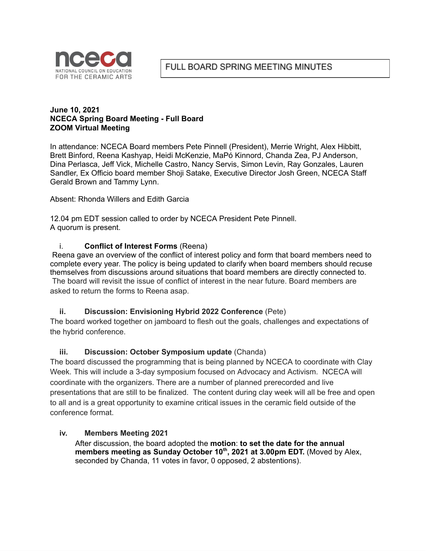

### **June 10, 2021 NCECA Spring Board Meeting - Full Board ZOOM Virtual Meeting**

In attendance: NCECA Board members Pete Pinnell (President), Merrie Wright, Alex Hibbitt, Brett Binford, Reena Kashyap, Heidi McKenzie, MaPó Kinnord, Chanda Zea, PJ Anderson, Dina Perlasca, Jeff Vick, Michelle Castro, Nancy Servis, Simon Levin, Ray Gonzales, Lauren Sandler, Ex Officio board member Shoji Satake, Executive Director Josh Green, NCECA Staff Gerald Brown and Tammy Lynn.

Absent: Rhonda Willers and Edith Garcia

12.04 pm EDT session called to order by NCECA President Pete Pinnell. A quorum is present.

# i. **Conflict of Interest Forms** (Reena)

Reena gave an overview of the conflict of interest policy and form that board members need to complete every year. The policy is being updated to clarify when board members should recuse themselves from discussions around situations that board members are directly connected to. The board will revisit the issue of conflict of interest in the near future. Board members are asked to return the forms to Reena asap.

# **ii. Discussion: Envisioning Hybrid 2022 Conference** (Pete)

The board worked together on jamboard to flesh out the goals, challenges and expectations of the hybrid conference.

# **iii. Discussion: October Symposium update** (Chanda)

The board discussed the programming that is being planned by NCECA to coordinate with Clay Week. This will include a 3-day symposium focused on Advocacy and Activism. NCECA will coordinate with the organizers. There are a number of planned prerecorded and live presentations that are still to be finalized. The content during clay week will all be free and open to all and is a great opportunity to examine critical issues in the ceramic field outside of the conference format.

# **iv. Members Meeting 2021**

After discussion, the board adopted the **motion**: **to set the date for the annual members meeting as Sunday October 10 th , 2021 at 3.00pm EDT.** (Moved by Alex, seconded by Chanda, 11 votes in favor, 0 opposed, 2 abstentions).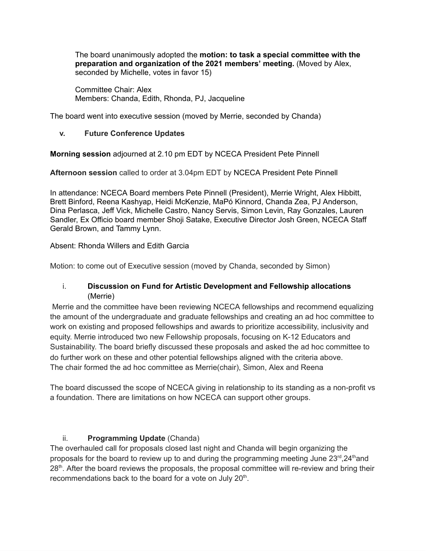The board unanimously adopted the **motion: to task a special committee with the preparation and organization of the 2021 members' meeting.** (Moved by Alex, seconded by Michelle, votes in favor 15)

Committee Chair: Alex Members: Chanda, Edith, Rhonda, PJ, Jacqueline

The board went into executive session (moved by Merrie, seconded by Chanda)

# **v. Future Conference Updates**

**Morning session** adjourned at 2.10 pm EDT by NCECA President Pete Pinnell

**Afternoon session** called to order at 3.04pm EDT by NCECA President Pete Pinnell

In attendance: NCECA Board members Pete Pinnell (President), Merrie Wright, Alex Hibbitt, Brett Binford, Reena Kashyap, Heidi McKenzie, MaPó Kinnord, Chanda Zea, PJ Anderson, Dina Perlasca, Jeff Vick, Michelle Castro, Nancy Servis, Simon Levin, Ray Gonzales, Lauren Sandler, Ex Officio board member Shoji Satake, Executive Director Josh Green, NCECA Staff Gerald Brown, and Tammy Lynn.

# Absent: Rhonda Willers and Edith Garcia

Motion: to come out of Executive session (moved by Chanda, seconded by Simon)

# i. **Discussion on Fund for Artistic Development and Fellowship allocations** (Merrie)

Merrie and the committee have been reviewing NCECA fellowships and recommend equalizing the amount of the undergraduate and graduate fellowships and creating an ad hoc committee to work on existing and proposed fellowships and awards to prioritize accessibility, inclusivity and equity. Merrie introduced two new Fellowship proposals, focusing on K-12 Educators and Sustainability. The board briefly discussed these proposals and asked the ad hoc committee to do further work on these and other potential fellowships aligned with the criteria above. The chair formed the ad hoc committee as Merrie(chair), Simon, Alex and Reena

The board discussed the scope of NCECA giving in relationship to its standing as a non-profit vs a foundation. There are limitations on how NCECA can support other groups.

# ii. **Programming Update** (Chanda)

The overhauled call for proposals closed last night and Chanda will begin organizing the proposals for the board to review up to and during the programming meeting June  $23^{\text{rd}}$ ,  $24^{\text{th}}$ and 28<sup>th</sup>. After the board reviews the proposals, the proposal committee will re-review and bring their recommendations back to the board for a vote on July 20<sup>th</sup>.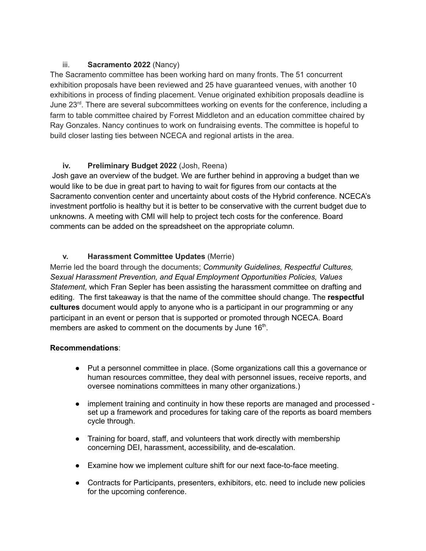# iii. **Sacramento 2022** (Nancy)

The Sacramento committee has been working hard on many fronts. The 51 concurrent exhibition proposals have been reviewed and 25 have guaranteed venues, with another 10 exhibitions in process of finding placement. Venue originated exhibition proposals deadline is June 23<sup>rd</sup>. There are several subcommittees working on events for the conference, including a farm to table committee chaired by Forrest Middleton and an education committee chaired by Ray Gonzales. Nancy continues to work on fundraising events. The committee is hopeful to build closer lasting ties between NCECA and regional artists in the area.

# **iv. Preliminary Budget 2022** (Josh, Reena)

Josh gave an overview of the budget. We are further behind in approving a budget than we would like to be due in great part to having to wait for figures from our contacts at the Sacramento convention center and uncertainty about costs of the Hybrid conference. NCECA's investment portfolio is healthy but it is better to be conservative with the current budget due to unknowns. A meeting with CMI will help to project tech costs for the conference. Board comments can be added on the spreadsheet on the appropriate column.

# **v. Harassment Committee Updates** (Merrie)

Merrie led the board through the documents; *Community Guidelines, Respectful Cultures, Sexual Harassment Prevention, and Equal Employment Opportunities Policies, Values Statement,* which Fran Sepler has been assisting the harassment committee on drafting and editing. The first takeaway is that the name of the committee should change. The **respectful cultures** document would apply to anyone who is a participant in our programming or any participant in an event or person that is supported or promoted through NCECA. Board members are asked to comment on the documents by June 16<sup>th</sup>.

# **Recommendations**:

- Put a personnel committee in place. (Some organizations call this a governance or human resources committee, they deal with personnel issues, receive reports, and oversee nominations committees in many other organizations.)
- **●** implement training and continuity in how these reports are managed and processed set up a framework and procedures for taking care of the reports as board members cycle through.
- Training for board, staff, and volunteers that work directly with membership concerning DEI, harassment, accessibility, and de-escalation.
- Examine how we implement culture shift for our next face-to-face meeting.
- Contracts for Participants, presenters, exhibitors, etc. need to include new policies for the upcoming conference.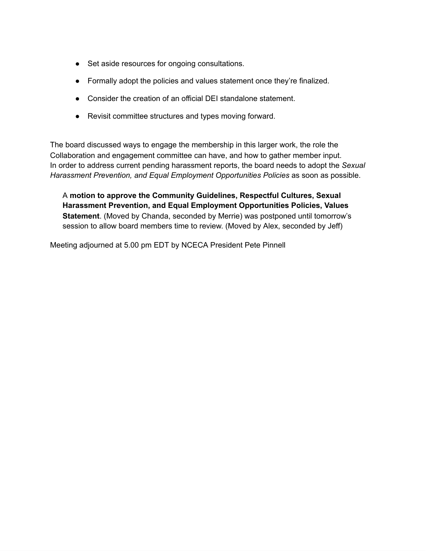- Set aside resources for ongoing consultations.
- Formally adopt the policies and values statement once they're finalized.
- Consider the creation of an official DEI standalone statement.
- Revisit committee structures and types moving forward.

The board discussed ways to engage the membership in this larger work, the role the Collaboration and engagement committee can have, and how to gather member input. In order to address current pending harassment reports, the board needs to adopt the *Sexual Harassment Prevention, and Equal Employment Opportunities Policies* as soon as possible.

A **motion to approve the Community Guidelines, Respectful Cultures, Sexual Harassment Prevention, and Equal Employment Opportunities Policies, Values Statement**. (Moved by Chanda, seconded by Merrie) was postponed until tomorrow's session to allow board members time to review. (Moved by Alex, seconded by Jeff)

Meeting adjourned at 5.00 pm EDT by NCECA President Pete Pinnell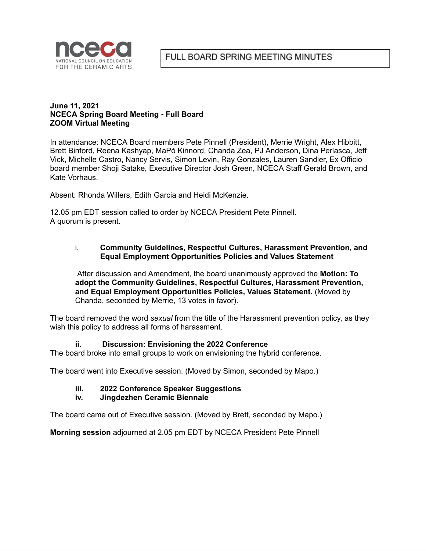

#### **June 11, 2021 NCECA Spring Board Meeting - Full Board ZOOM Virtual Meeting**

In attendance: NCECA Board members Pete Pinnell (President), Merrie Wright, Alex Hibbitt, Brett Binford, Reena Kashyap, MaPó Kinnord, Chanda Zea, PJ Anderson, Dina Perlasca, Jeff Vick, Michelle Castro, Nancy Servis, Simon Levin, Ray Gonzales, Lauren Sandler, Ex Officio board member Shoji Satake, Executive Director Josh Green, NCECA Staff Gerald Brown, and Kate Vorhaus.

Absent: Rhonda Willers, Edith Garcia and Heidi McKenzie.

12.05 pm EDT session called to order by NCECA President Pete Pinnell. A quorum is present.

#### i. **Community Guidelines, Respectful Cultures, Harassment Prevention, and Equal Employment Opportunities Policies and Values Statement**

After discussion and Amendment, the board unanimously approved the **Motion: To adopt the Community Guidelines, Respectful Cultures, Harassment Prevention, and Equal Employment Opportunities Policies, Values Statement.** (Moved by Chanda, seconded by Merrie, 13 votes in favor).

The board removed the word *sexual* from the title of the Harassment prevention policy, as they wish this policy to address all forms of harassment.

### **ii. Discussion: Envisioning the 2022 Conference**

The board broke into small groups to work on envisioning the hybrid conference.

The board went into Executive session. (Moved by Simon, seconded by Mapo.)

### **iii. 2022 Conference Speaker Suggestions**

#### **iv. Jingdezhen Ceramic Biennale**

The board came out of Executive session. (Moved by Brett, seconded by Mapo.)

**Morning session** adjourned at 2.05 pm EDT by NCECA President Pete Pinnell